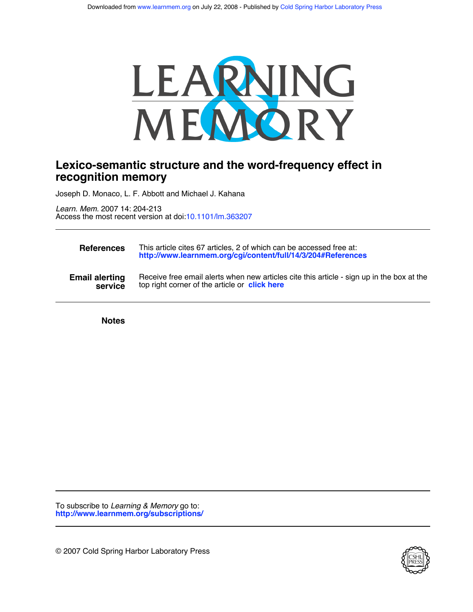

# **recognition memory Lexico-semantic structure and the word-frequency effect in**

Joseph D. Monaco, L. F. Abbott and Michael J. Kahana

Access the most recent version at doi[:10.1101/lm.363207](http://www.learnmem.org/cgi/doi/10.1101/lm.363207) *Learn. Mem.* 2007 14: 204-213

| <b>References</b>     | This article cites 67 articles, 2 of which can be accessed free at:<br>http://www.learnmem.org/cgi/content/full/14/3/204#References |
|-----------------------|-------------------------------------------------------------------------------------------------------------------------------------|
| <b>Email alerting</b> | Receive free email alerts when new articles cite this article - sign up in the box at the                                           |
| service               | top right corner of the article or <b>click here</b>                                                                                |

**Notes**

**<http://www.learnmem.org/subscriptions/>** To subscribe to *Learning & Memory* go to:

© 2007 Cold Spring Harbor Laboratory Press

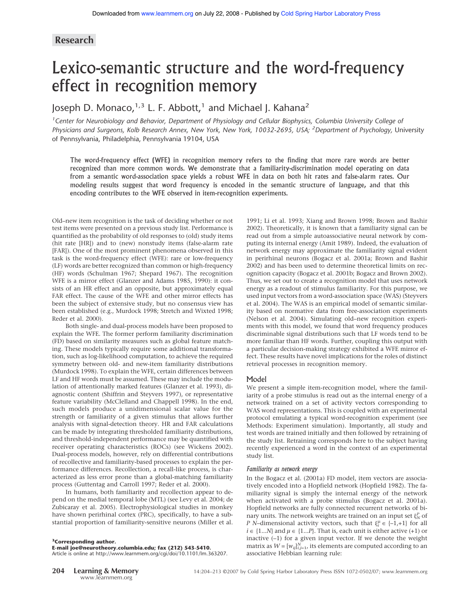## **Research**

# Lexico-semantic structure and the word-frequency effect in recognition memory

# Joseph D. Monaco, $1,3$  L. F. Abbott,<sup>1</sup> and Michael J. Kahana<sup>2</sup>

<sup>1</sup> Center for Neurobiology and Behavior, Department of Physiology and Cellular Biophysics, Columbia University College of *Physicians and Surgeons, Kolb Research Annex, New York, New York, 10032-2695, USA; <sup>2</sup> Department of Psychology,* University of Pennsylvania, Philadelphia, Pennsylvania 19104, USA

The word-frequency effect (WFE) in recognition memory refers to the finding that more rare words are better recognized than more common words. We demonstrate that a familiarity-discrimination model operating on data from a semantic word-association space yields a robust WFE in data on both hit rates and false-alarm rates. Our modeling results suggest that word frequency is encoded in the semantic structure of language, and that this encoding contributes to the WFE observed in item-recognition experiments.

Old–new item recognition is the task of deciding whether or not test items were presented on a previous study list. Performance is quantified as the probability of old responses to (old) study items (hit rate [HR]) and to (new) nonstudy items (false-alarm rate [FAR]). One of the most prominent phenomena observed in this task is the word-frequency effect (WFE): rare or low-frequency (LF) words are better recognized than common or high-frequency (HF) words (Schulman 1967; Shepard 1967). The recognition WFE is a mirror effect (Glanzer and Adams 1985, 1990): it consists of an HR effect and an opposite, but approximately equal FAR effect. The cause of the WFE and other mirror effects has been the subject of extensive study, but no consensus view has been established (e.g., Murdock 1998; Stretch and Wixted 1998; Reder et al. 2000).

Both single- and dual-process models have been proposed to explain the WFE. The former perform familiarity discrimination (FD) based on similarity measures such as global feature matching. These models typically require some additional transformation, such as log-likelihood computation, to achieve the required symmetry between old- and new-item familiarity distributions (Murdock 1998). To explain the WFE, certain differences between LF and HF words must be assumed. These may include the modulation of attentionally marked features (Glanzer et al. 1993), diagnostic content (Shiffrin and Steyvers 1997), or representative feature variability (McClelland and Chappell 1998). In the end, such models produce a unidimensional scalar value for the strength or familiarity of a given stimulus that allows further analysis with signal-detection theory. HR and FAR calculations can be made by integrating thresholded familiarity distributions, and threshold-independent performance may be quantified with receiver operating characteristics (ROCs) (see Wickens 2002). Dual-process models, however, rely on differential contributions of recollective and familiarity-based processes to explain the performance differences. Recollection, a recall-like process, is characterized as less error prone than a global-matching familiarity process (Guttentag and Carroll 1997; Reder et al. 2000).

In humans, both familiarity and recollection appear to depend on the medial temporal lobe (MTL) (see Levy et al. 2004; de Zubicaray et al. 2005). Electrophysiological studies in monkey have shown perirhinal cortex (PRC), specifically, to have a substantial proportion of familiarity-sensitive neurons (Miller et al.

**3Corresponding author.**

**E-mail joe@neurotheory.columbia.edu; fax (212) 543-5410.** Article is online at http://www.learnmem.org/cgi/doi/10.1101/lm.363207.

1991; Li et al. 1993; Xiang and Brown 1998; Brown and Bashir 2002). Theoretically, it is known that a familiarity signal can be read out from a simple autoassociative neural network by computing its internal energy (Amit 1989). Indeed, the evaluation of network energy may approximate the familiarity signal evident in perirhinal neurons (Bogacz et al. 2001a; Brown and Bashir 2002) and has been used to determine theoretical limits on recognition capacity (Bogacz et al. 2001b; Bogacz and Brown 2002). Thus, we set out to create a recognition model that uses network energy as a readout of stimulus familiarity. For this purpose, we used input vectors from a word-association space (WAS) (Steyvers et al. 2004). The WAS is an empirical model of semantic similarity based on normative data from free-association experiments (Nelson et al. 2004). Simulating old–new recognition experiments with this model, we found that word frequency produces discriminable signal distributions such that LF words tend to be more familiar than HF words. Further, coupling this output with a particular decision-making strategy exhibited a WFE mirror effect. These results have novel implications for the roles of distinct retrieval processes in recognition memory.

#### Model

We present a simple item-recognition model, where the familiarity of a probe stimulus is read out as the internal energy of a network trained on a set of activity vectors corresponding to WAS word representations. This is coupled with an experimental protocol emulating a typical word-recognition experiment (see Methods: Experiment simulation). Importantly, all study and test words are trained initially and then followed by retraining of the study list. Retraining corresponds here to the subject having recently experienced a word in the context of an experimental study list.

#### *Familiarity as network energy*

In the Bogacz et al. (2001a) FD model, item vectors are associatively encoded into a Hopfield network (Hopfield 1982). The familiarity signal is simply the internal energy of the network when activated with a probe stimulus (Bogacz et al. 2001a). Hopfield networks are fully connected recurrent networks of binary units. The network weights are trained on an input set  $\xi_N^P$  of *P N*–dimensional activity vectors, such that  $\xi_i^{\mu} \in \{-1, +1\}$  for all *i* ∈ {1...*N*} and  $\mu$  ∈ {1...*P*}. That is, each unit is either active (+1) or inactive (*–*1) for a given input vector. If we denote the weight matrix as  $W = [w_{ij}]_{i,j=1}^N$ , its elements are computed according to an associative Hebbian learning rule: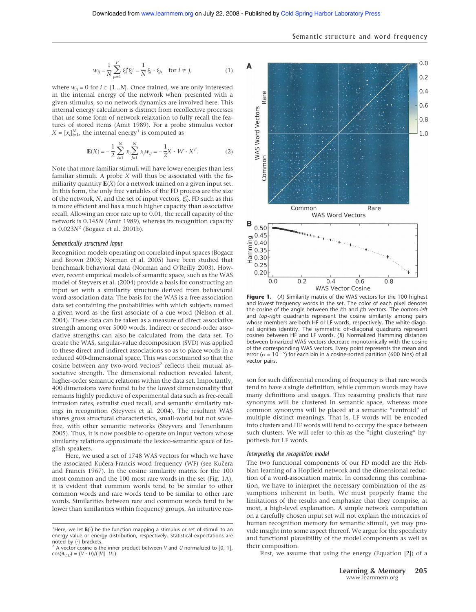$$
w_{ij} = \frac{1}{N} \sum_{\mu=1}^{P} \xi_i^{\mu} \xi_j^{\mu} = \frac{1}{N} \xi_i \cdot \xi_j, \text{ for } i \neq j,
$$
 (1)

where  $w_{ii} = 0$  for  $i \in \{1...N\}$ . Once trained, we are only interested in the internal energy of the network when presented with a given stimulus, so no network dynamics are involved here. This internal energy calculation is distinct from recollective processes that use some form of network relaxation to fully recall the features of stored items (Amit 1989). For a probe stimulus vector  $X = [x_i]_{i=1}^N$ , the internal energy<sup>1</sup> is computed as

$$
\mathbf{E}(X) = -\frac{1}{2} \sum_{i=1}^{N} x_i \sum_{j=1}^{N} x_j w_{ij} = -\frac{1}{2} X \cdot W \cdot X^T.
$$
 (2)

Note that more familiar stimuli will have lower energies than less familiar stimuli. A probe *X* will thus be associated with the familiarity quantity **E**(*X*) for a network trained on a given input set. In this form, the only free variables of the FD process are the size of the network, *N*, and the set of input vectors,  $\xi_N^P$ . FD such as this is more efficient and has a much higher capacity than associative recall. Allowing an error rate up to 0.01, the recall capacity of the network is 0.145*N* (Amit 1989), whereas its recognition capacity is 0.023*N*<sup>2</sup> (Bogacz et al. 2001b).

#### *Semantically structured input*

Recognition models operating on correlated input spaces (Bogacz and Brown 2003; Norman et al. 2005) have been studied that benchmark behavioral data (Norman and O'Reilly 2003). However, recent empirical models of semantic space, such as the WAS model of Steyvers et al. (2004) provide a basis for constructing an input set with a similarity structure derived from behavioral word-association data. The basis for the WAS is a free-association data set containing the probabilities with which subjects named a given word as the first associate of a cue word (Nelson et al. 2004). These data can be taken as a measure of direct associative strength among over 5000 words. Indirect or second-order associative strengths can also be calculated from the data set. To create the WAS, singular-value decomposition (SVD) was applied to these direct and indirect associations so as to place words in a reduced 400-dimensional space. This was constrained so that the cosine between any two-word vectors<sup>2</sup> reflects their mutual associative strength. The dimensional reduction revealed latent, higher-order semantic relations within the data set. Importantly, 400 dimensions were found to be the lowest dimensionality that remains highly predictive of experimental data such as free-recall intrusion rates, extralist cued recall, and semantic similarity ratings in recognition (Steyvers et al. 2004). The resultant WAS shares gross structural characteristics, small-world but not scalefree, with other semantic networks (Steyvers and Tenenbaum 2005). Thus, it is now possible to operate on input vectors whose similarity relations approximate the lexico-semantic space of English speakers.

Here, we used a set of 1748 WAS vectors for which we have the associated Kučera-Francis word frequency (WF) (see Kučera and Francis 1967). In the cosine similarity matrix for the 100 most common and the 100 most rare words in the set (Fig. 1A), it is evident that common words tend to be similar to other common words and rare words tend to be similar to other rare words. Similarities between rare and common words tend to be lower than similarities within frequency groups. An intuitive rea-



**Figure 1.** (*A*) Similarity matrix of the WAS vectors for the 100 highest and lowest frequency words in the set. The color of each pixel denotes the cosine of the angle between the *i*th and *j*th vectors. The *bottom-left* and *top-right* quadrants represent the cosine similarity among pairs whose members are both HF or LF words, respectively. The white diagonal signifies identity. The symmetric off-diagonal quadrants represent cosines between HF and LF words. (*B*) Normalized Hamming distances between binarized WAS vectors decrease monotonically with the cosine of the corresponding WAS vectors. Every point represents the mean and error ( $\alpha$  = 10<sup>-5</sup>) for each bin in a cosine-sorted partition (600 bins) of all vector pairs.

son for such differential encoding of frequency is that rare words tend to have a single definition, while common words may have many definitions and usages. This reasoning predicts that rare synonyms will be clustered in semantic space, whereas more common synonyms will be placed at a semantic "centroid" of multiple distinct meanings. That is, LF words will be encoded into clusters and HF words will tend to occupy the space between such clusters. We will refer to this as the "tight clustering" hypothesis for LF words.

#### *Interpreting the recognition model*

The two functional components of our FD model are the Hebbian learning of a Hopfield network and the dimensional reduction of a word-association matrix. In considering this combination, we have to interpret the necessary combination of the assumptions inherent in both. We must properly frame the limitations of the results and emphasize that they comprise, at most, a high-level explanation. A simple network computation on a carefully chosen input set will not explain the intricacies of human recognition memory for semantic stimuli, yet may provide insight into some aspect thereof. We argue for the specificity and functional plausibility of the model components as well as their composition.

First, we assume that using the energy (Equation [2]) of a

<sup>&</sup>lt;sup>1</sup>Here, we let **E**(*·*) be the function mapping a stimulus or set of stimuli to an energy value or energy distribution, respectively. Statistical expectations are noted by  $\langle \cdot \rangle$  brackets.

 $2A$  vector cosine is the inner product between *V* and *U* normalized to [0, 1],  $cos(\theta_{V,U}) = (V \cdot U)/(||V|| ||U||).$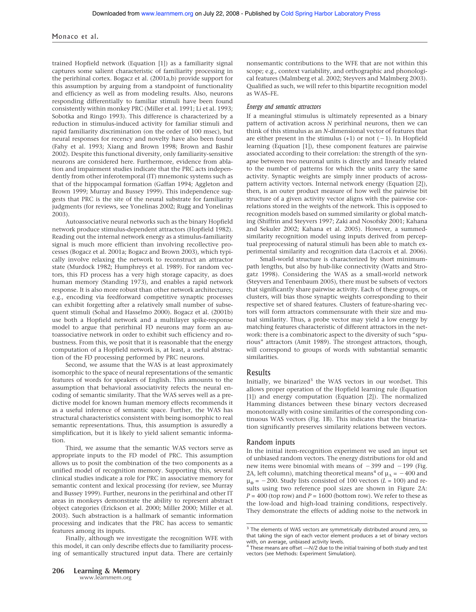#### Monaco et al.

trained Hopfield network (Equation [1]) as a familiarity signal captures some salient characteristic of familiarity processing in the perirhinal cortex. Bogacz et al. (2001a,b) provide support for this assumption by arguing from a standpoint of functionality and efficiency as well as from modeling results. Also, neurons responding differentially to familiar stimuli have been found consistently within monkey PRC (Miller et al. 1991; Li et al. 1993; Sobotka and Ringo 1993). This difference is characterized by a reduction in stimulus-induced activity for familiar stimuli and rapid familiarity discrimination (on the order of 100 msec), but neural responses for recency and novelty have also been found (Fahy et al. 1993; Xiang and Brown 1998; Brown and Bashir 2002). Despite this functional diversity, only familiarity-sensitive neurons are considered here. Furthermore, evidence from ablation and impairment studies indicate that the PRC acts independently from other inferotemporal (IT) mnemonic systems such as that of the hippocampal formation (Gaffan 1994; Aggleton and Brown 1999; Murray and Bussey 1999). This independence suggests that PRC is the site of the neural substrate for familiarity judgments (for reviews, see Yonelinas 2002; Rugg and Yonelinas 2003).

Autoassociative neural networks such as the binary Hopfield network produce stimulus-dependent attractors (Hopfield 1982). Reading out the internal network energy as a stimulus-familiarity signal is much more efficient than involving recollective processes (Bogacz et al. 2001a; Bogacz and Brown 2003), which typically involve relaxing the network to reconstruct an attractor state (Murdock 1982; Humphreys et al. 1989). For random vectors, this FD process has a very high storage capacity, as does human memory (Standing 1973), and enables a rapid network response. It is also more robust than other network architectures; e.g., encoding via feedforward competitive synaptic processes can exhibit forgetting after a relatively small number of subsequent stimuli (Sohal and Hasselmo 2000). Bogacz et al. (2001b) use both a Hopfield network and a multilayer spike-response model to argue that perirhinal FD neurons may form an autoassociative network in order to exhibit such efficiency and robustness. From this, we posit that it is reasonable that the energy computation of a Hopfield network is, at least, a useful abstraction of the FD processing performed by PRC neurons.

Second, we assume that the WAS is at least approximately isomorphic to the space of neural representations of the semantic features of words for speakers of English. This amounts to the assumption that behavioral associativity refects the neural encoding of semantic similarity. That the WAS serves well as a predictive model for known human memory effects recommends it as a useful inference of semantic space. Further, the WAS has structural characteristics consistent with being isomorphic to real semantic representations. Thus, this assumption is assuredly a simplification, but it is likely to yield salient semantic information.

Third, we assume that the semantic WAS vectors serve as appropriate inputs to the FD model of PRC. This assumption allows us to posit the combination of the two components as a unified model of recognition memory. Supporting this, several clinical studies indicate a role for PRC in associative memory for semantic content and lexical processing (for review, see Murray and Bussey 1999). Further, neurons in the perirhinal and other IT areas in monkeys demonstrate the ability to represent abstract object categories (Erickson et al. 2000; Miller 2000; Miller et al. 2003). Such abstraction is a hallmark of semantic information processing and indicates that the PRC has access to semantic features among its inputs.

Finally, although we investigate the recognition WFE with this model, it can only describe effects due to familiarity processing of semantically structured input data. There are certainly nonsemantic contributions to the WFE that are not within this scope; e.g., context variability, and orthographic and phonological features (Malmberg et al. 2002; Steyvers and Malmberg 2003). Qualified as such, we will refer to this bipartite recognition model as WAS–FE.

#### *Energy and semantic attractors*

If a meaningful stimulus is ultimately represented as a binary pattern of activation across *N* perirhinal neurons, then we can think of this stimulus as an *N*-dimensional vector of features that are either present in the stimulus  $(+1)$  or not  $(-1)$ . In Hopfield learning (Equation [1]), these component features are pairwise associated according to their correlation: the strength of the synapse between two neuronal units is directly and linearly related to the number of patterns for which the units carry the same activity. Synaptic weights are simply inner products of acrosspattern activity vectors. Internal network energy (Equation [2]), then, is an outer product measure of how well the pairwise bit structure of a given activity vector aligns with the pairwise correlations stored in the weights of the network. This is opposed to recognition models based on summed similarity or global matching (Shiffrin and Steyvers 1997; Zaki and Nosofsky 2001; Kahana and Sekuler 2002; Kahana et al. 2005). However, a summedsimilarity recognition model using inputs derived from perceptual preprocessing of natural stimuli has been able to match experimental similarity and recognition data (Lacroix et al. 2006).

Small-world structure is characterized by short minimumpath lengths, but also by hub-like connectivity (Watts and Strogatz 1998). Considering the WAS as a small-world network (Steyvers and Tenenbaum 2005), there must be subsets of vectors that significantly share pairwise activity. Each of these groups, or clusters, will bias those synaptic weights corresponding to their respective set of shared features. Clusters of feature-sharing vectors will form attractors commensurate with their size and mutual similarity. Thus, a probe vector may yield a low energy by matching features characteristic of different attractors in the network: there is a combinatoric aspect to the diversity of such "spurious" attractors (Amit 1989). The strongest attractors, though, will correspond to groups of words with substantial semantic similarities.

#### Results

Initially, we binarized<sup>3</sup> the WAS vectors in our wordset. This allows proper operation of the Hopfield learning rule (Equation [1]) and energy computation (Equation [2]). The normalized Hamming distances between these binary vectors decreased monotonically with cosine similarities of the corresponding continuous WAS vectors (Fig. 1B). This indicates that the binarization significantly preserves similarity relations between vectors.

#### Random inputs

In the initial item-recognition experiment we used an input set of unbiased random vectors. The energy distributions for old and new items were binomial with means of  $-399$  and  $-199$  (Fig. 2A, left column), matching theoretical means<sup>4</sup> of  $\mu_{\Lambda} = -400$  and  $\mu_{\Phi}$  = -200. Study lists consisted of 100 vectors (*L* = 100) and results using two reference pool sizes are shown in Figure 2A:  $P = 400$  (top row) and  $P = 1600$  (bottom row). We refer to these as the low-load and high-load training conditions, respectively. They demonstrate the effects of adding noise to the network in

<sup>&</sup>lt;sup>3</sup> The elements of WAS vectors are symmetrically distributed around zero, so that taking the sign of each vector element produces a set of binary vectors with, on average, unbiased activity levels.

<sup>4</sup> These means are offset *—N/*2 due to the initial training of both study and test vectors (see Methods: Experiment Simulation).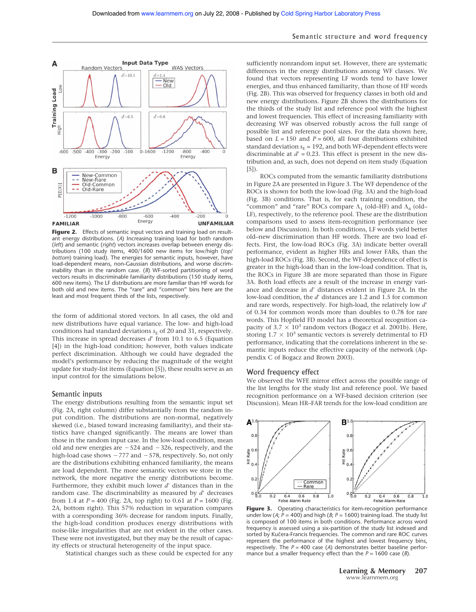#### Semantic structure and word frequency



Figure 2. Effects of semantic input vectors and training load on resultant energy distributions. (*A*) Increasing training load for both random (*left*) and semantic (*right*) vectors increases overlap between energy distributions (100 study items, 400/1600 new items for low/high (*top*/ *bottom*) training load). The energies for semantic inputs, however, have load-dependent means, non-Gaussian distributions, and worse discriminability than in the random case. (*B*) WF-sorted partitioning of word vectors results in discriminable familiarity distributions (150 study items, 600 new items). The LF distributions are more familiar than HF words for both old and new items. The "rare" and "common" bins here are the least and most frequent thirds of the lists, respectively.

the form of additional stored vectors. In all cases, the old and new distributions have equal variance. The low- and high-load conditions had standard deviations  $s_{\rm E}$  of 20 and 31, respectively. This increase in spread decreases  $d'$  from 10.1 to 6.5 (Equation [4]) in the high-load condition; however, both values indicate perfect discrimination. Although we could have degraded the model's performance by reducing the magnitude of the weight update for study-list items (Equation [5]), these results serve as an input control for the simulations below.

#### Semantic inputs

The energy distributions resulting from the semantic input set (Fig. 2A, right column) differ substantially from the random input condition. The distributions are non-normal, negatively skewed (i.e., biased toward increasing familiarity), and their statistics have changed significantly. The means are lower than those in the random input case. In the low-load condition, mean old and new energies are  $-524$  and  $-326$ , respectively, and the high-load case shows  $-777$  and  $-578$ , respectively. So, not only are the distributions exhibiting enhanced familiarity, the means are load dependent. The more semantic vectors we store in the network, the more negative the energy distributions become. Furthermore, they exhibit much lower *d'* distances than in the random case. The discriminability as measured by *d'* decreases from 1.4 at *P* = 400 (Fig. 2A, top right) to 0.61 at *P* = 1600 (Fig. 2A, bottom right). This 57% reduction in separation compares with a corresponding 36% decrease for random inputs. Finally, the high-load condition produces energy distributions with noise-like irregularities that are not evident in the other cases. These were not investigated, but they may be the result of capacity effects or structural heterogeneity of the input space.

Statistical changes such as these could be expected for any

sufficiently nonrandom input set. However, there are systematic differences in the energy distributions among WF classes. We found that vectors representing LF words tend to have lower energies, and thus enhanced familiarity, than those of HF words (Fig. 2B). This was observed for frequency classes in both old and new energy distributions. Figure 2B shows the distributions for the thirds of the study list and reference pool with the highest and lowest frequencies. This effect of increasing familiarity with decreasing WF was observed robustly across the full range of possible list and reference pool sizes. For the data shown here, based on  $L = 150$  and  $P = 600$ , all four distributions exhibited standard deviation  $s<sub>E</sub> = 192$ , and both WF-dependent effects were discriminable at  $d' = 0.23$ . This effect is present in the new distribution and, as such, does not depend on item study (Equation [5]).

ROCs computed from the semantic familiarity distributions in Figure 2A are presented in Figure 3. The WF dependence of the ROCs is shown for both the low-load (Fig. 3A) and the high-load (Fig. 3B) conditions. That is, for each training condition, the "common" and "rare" ROCs compare  $\Lambda_1$  (old–HF) and  $\Lambda_6$  (old– LF), respectively, to the reference pool. These are the distribution comparisons used to assess item-recognition performance (see below and Discussion). In both conditions, LF words yield better old–new discrimination than HF words. There are two load effects. First, the low-load ROCs (Fig. 3A) indicate better overall performance, evident as higher HRs and lower FARs, than the high-load ROCs (Fig. 3B). Second, the WF-dependence of effect is greater in the high-load than in the low-load condition. That is, the ROCs in Figure 3B are more separated than those in Figure 3A. Both load effects are a result of the increase in energy variance and decrease in  $d'$  distances evident in Figure 2A. In the low-load condition, the *d'* distances are 1.2 and 1.5 for common and rare words, respectively. For high-load, the relatively low d' of 0.34 for common words more than doubles to 0.78 for rare words. This Hopfield FD model has a theoretical recognition capacity of  $3.7 \times 10^3$  random vectors (Bogacz et al. 2001b). Here, storing  $1.7 \times 10^3$  semantic vectors is severely detrimental to FD performance, indicating that the correlations inherent in the semantic inputs reduce the effective capacity of the network (Appendix C of Bogacz and Brown 2003).

#### Word frequency effect

We observed the WFE mirror effect across the possible range of the list lengths for the study list and reference pool. We based recognition performance on a WF-based decision criterion (see Discussion). Mean HR–FAR trends for the low-load condition are



Figure 3. Operating characteristics for item-recognition performance under low (*A*;  $\dot{P} = 400$ ) and high (*B*;  $P = 1600$ ) training load. The study list is composed of 100 items in both conditions. Performance across word frequency is assessed using a six-partition of the study list indexed and sorted by Kučera-Francis frequencies. The common and rare ROC curves represent the performance of the highest and lowest frequency bins, respectively. The  $P = 400$  case (A) demonstrates better baseline performance but a smaller frequency effect than the *P* = 1600 case (*B*)*.*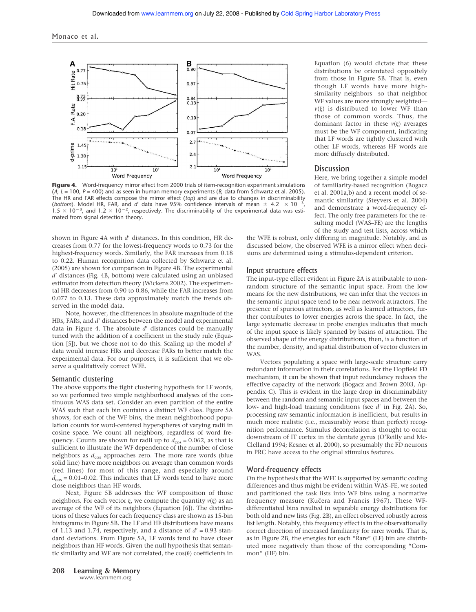

Figure 4. Word-frequency mirror effect from 2000 trials of item-recognition experiment simulations (*A*; *L* = 100, *P* = 400) and as seen in human memory experiments (*B*; data from Schwartz et al. 2005). The HR and FAR effects compose the mirror effect (*top*) and are due to changes in discriminability (*bottom*). Model HR, FAR, and d' data have 95% confidence intervals of mean  $\pm$  4.2  $\times$  10<sup>-3</sup> (bottom). Model HR, FAR, and d' data have 95% confidence intervals of mean  $\pm$  4.2  $\times$  10<sup>-3</sup>, 10<sup>-3</sup>, 10<sup>-3</sup>, 10<sup>-2</sup>, respectively. The discriminability of the experimental data was estimated from signal detection theory.

shown in Figure 4A with d' distances. In this condition, HR decreases from 0.77 for the lowest-frequency words to 0.73 for the highest-frequency words. Similarly, the FAR increases from 0.18 to 0.22. Human recognition data collected by Schwartz et al. (2005) are shown for comparison in Figure 4B. The experimental *d'* distances (Fig. 4B, bottom) were calculated using an unbiased estimator from detection theory (Wickens 2002). The experimental HR decreases from 0.90 to 0.86, while the FAR increases from 0.077 to 0.13. These data approximately match the trends observed in the model data.

Note, however, the differences in absolute magnitude of the HRs, FARs, and *d'* distances between the model and experimental data in Figure 4. The absolute  $d'$  distances could be manually tuned with the addition of a coefficient in the study rule (Equation [5]), but we chose not to do this. Scaling up the model d' data would increase HRs and decrease FARs to better match the experimental data. For our purposes, it is sufficient that we observe a qualitatively correct WFE.

#### Semantic clustering

The above supports the tight clustering hypothesis for LF words, so we performed two simple neighborhood analyses of the continuous WAS data set. Consider an even partition of the entire WAS such that each bin contains a distinct WF class. Figure 5A shows, for each of the WF bins, the mean neighborhood population counts for word-centered hyperspheres of varying radii in cosine space. We count all neighbors, regardless of word frequency. Counts are shown for radii up to  $d_{\cos} = 0.062$ , as that is sufficient to illustrate the WF dependence of the number of close neighbors as  $d_{\cos}$  approaches zero. The more rare words (blue solid line) have more neighbors on average than common words (red lines) for most of this range, and especially around  $d_{\cos}$  = 0.01–0.02. This indicates that LF words tend to have more close neighbors than HF words.

Next, Figure 5B addresses the WF composition of those neighbors. For each vector  $\xi$ , we compute the quantity  $v(\xi)$  as an average of the WF of its neighbors (Equation [6]). The distributions of these values for each frequency class are shown as 15-bin histograms in Figure 5B. The LF and HF distributions have means of 1.13 and 1.74, respectively, and a distance of  $d' = 0.93$  standard deviations. From Figure 5A, LF words tend to have closer neighbors than HF words. Given the null hypothesis that semantic similarity and WF are not correlated, the  $cos(\theta)$  coefficients in

**208 Learning & Memory** www.learnmem.org

Equation (6) would dictate that these distributions be orientated oppositely from those in Figure 5B. That is, even though LF words have more highsimilarity neighbors—so that neighbor WF values are more strongly weighted  $v(\xi)$  is distributed to lower WF than those of common words. Thus, the dominant factor in these  $v(\xi)$  averages must be the WF component, indicating that LF words are tightly clustered with other LF words, whereas HF words are more diffusely distributed.

## **Discussion**

Here, we bring together a simple model of familiarity-based recognition (Bogacz et al. 2001a,b) and a recent model of semantic similarity (Steyvers et al. 2004) and demonstrate a word-frequency effect. The only free parameters for the resulting model (WAS–FE) are the lengths of the study and test lists, across which

the WFE is robust, only differing in magnitude. Notably, and as discussed below, the observed WFE is a mirror effect when decisions are determined using a stimulus-dependent criterion.

#### Input structure effects

The input-type effect evident in Figure 2A is attributable to nonrandom structure of the semantic input space. From the low means for the new distributions, we can infer that the vectors in the semantic input space tend to be near network attractors. The presence of spurious attractors, as well as learned attractors, further contributes to lower energies across the space. In fact, the large systematic decrease in probe energies indicates that much of the input space is likely spanned by basins of attraction. The observed shape of the energy distributions, then, is a function of the number, density, and spatial distribution of vector clusters in WAS.

Vectors populating a space with large-scale structure carry redundant information in their correlations. For the Hopfield FD mechanism, it can be shown that input redundancy reduces the effective capacity of the network (Bogacz and Brown 2003, Appendix C). This is evident in the large drop in discriminability between the random and semantic input spaces and between the low- and high-load training conditions (see d' in Fig. 2A). So, processing raw semantic information is inefficient, but results in much more realistic (i.e., measurably worse than perfect) recognition performance. Stimulus decorrelation is thought to occur downstream of IT cortex in the dentate gyrus (O'Reilly and Mc-Clelland 1994; Kesner et al. 2000), so presumably the FD neurons in PRC have access to the original stimulus features.

#### Word-frequency effects

On the hypothesis that the WFE is supported by semantic coding differences and thus might be evident within WAS–FE, we sorted and partitioned the task lists into WF bins using a normative frequency measure (Kučera and Francis 1967). These WFdifferentiated bins resulted in separable energy distributions for both old and new lists (Fig. 2B), an effect observed robustly across list length. Notably, this frequency effect is in the observationally correct direction of increased familiarity for rarer words. That is, as in Figure 2B, the energies for each "Rare" (LF) bin are distributed more negatively than those of the corresponding "Common" (HF) bin.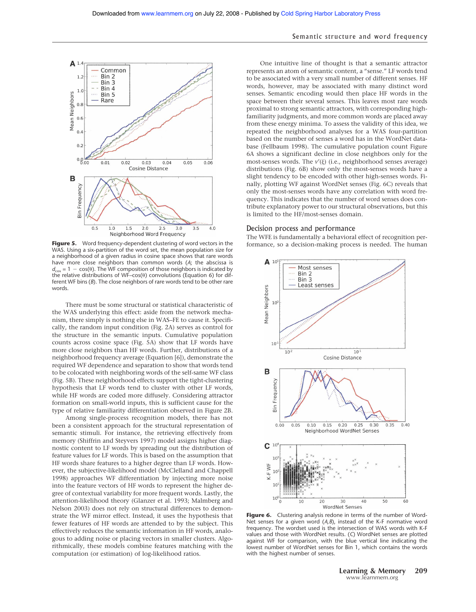#### Semantic structure and word frequency



Figure 5. Word frequency-dependent clustering of word vectors in the formance, so a decision-making process is needed. The human WAS. Using a six-partition of the word set, the mean population size for a neighborhood of a given radius in cosine space shows that rare words have more close neighbors than common words (*A*; the abscissa is  $d_{\cos} = 1 - \cos(\theta)$ . The WF composition of those neighbors is indicated by the relative distributions of WF-cos( $\theta$ ) convolutions (Equation 6) for different WF bins (*B*). The close neighbors of rare words tend to be other rare words.

There must be some structural or statistical characteristic of the WAS underlying this effect: aside from the network mechanism, there simply is nothing else in WAS–FE to cause it. Specifically, the random input condition (Fig. 2A) serves as control for the structure in the semantic inputs. Cumulative population counts across cosine space (Fig. 5A) show that LF words have more close neighbors than HF words. Further, distributions of a neighborhood frequency average (Equation [6]), demonstrate the required WF dependence and separation to show that words tend to be colocated with neighboring words of the self-same WF class (Fig. 5B). These neighborhood effects support the tight-clustering hypothesis that LF words tend to cluster with other LF words, while HF words are coded more diffusely. Considering attractor formation on small-world inputs, this is sufficient cause for the type of relative familiarity differentiation observed in Figure 2B.

Among single-process recognition models, there has not been a consistent approach for the structural representation of semantic stimuli. For instance, the retrieving effectively from memory (Shiffrin and Steyvers 1997) model assigns higher diagnostic content to LF words by spreading out the distribution of feature values for LF words. This is based on the assumption that HF words share features to a higher degree than LF words. However, the subjective-likelihood model (McClelland and Chappell 1998) approaches WF differentiation by injecting more noise into the feature vectors of HF words to represent the higher degree of contextual variability for more frequent words. Lastly, the attention-likelihood theory (Glanzer et al. 1993; Malmberg and Nelson 2003) does not rely on structural differences to demonstrate the WF mirror effect. Instead, it uses the hypothesis that fewer features of HF words are attended to by the subject. This effectively reduces the semantic information in HF words, analogous to adding noise or placing vectors in smaller clusters. Algorithmically, these models combine features matching with the computation (or estimation) of log-likelihood ratios.

One intuitive line of thought is that a semantic attractor represents an atom of semantic content, a "sense." LF words tend to be associated with a very small number of different senses. HF words, however, may be associated with many distinct word senses. Semantic encoding would then place HF words in the space between their several senses. This leaves most rare words proximal to strong semantic attractors, with corresponding highfamiliarity judgments, and more common words are placed away from these energy minima. To assess the validity of this idea, we repeated the neighborhood analyses for a WAS four-partition based on the number of senses a word has in the WordNet database (Fellbaum 1998). The cumulative population count Figure 6A shows a significant decline in close neighbors only for the most-senses words. The  $v'(\xi)$  (i.e., neighborhood senses average) distributions (Fig. 6B) show only the most-senses words have a slight tendency to be encoded with other high-senses words. Finally, plotting WF against WordNet senses (Fig. 6C) reveals that only the most-senses words have any correlation with word frequency. This indicates that the number of word senses does contribute explanatory power to our structural observations, but this is limited to the HF/most-senses domain.

#### Decision process and performance

The WFE is fundamentally a behavioral effect of recognition per-



**Figure 6.** Clustering analysis redone in terms of the number of Word-Net senses for a given word (*A,B*), instead of the K-F normative word frequency. The wordset used is the intersection of WAS words with K-F values and those with WordNet results. (*C*) WordNet senses are plotted against WF for comparison, with the blue vertical line indicating the lowest number of WordNet senses for Bin 1, which contains the words with the highest number of senses.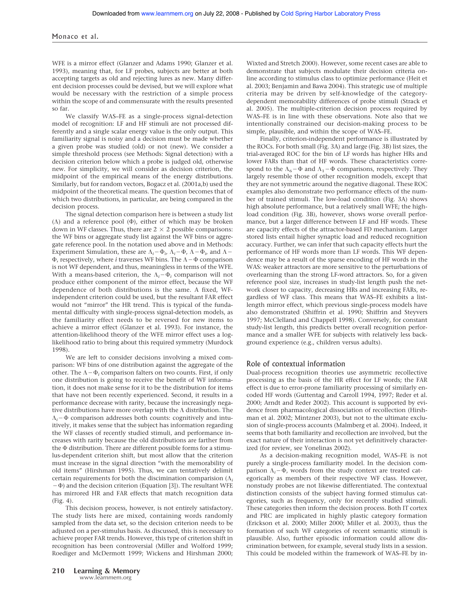#### Monaco et al.

WFE is a mirror effect (Glanzer and Adams 1990; Glanzer et al. 1993), meaning that, for LF probes, subjects are better at both accepting targets as old and rejecting lures as new. Many different decision processes could be devised, but we will explore what would be necessary with the restriction of a simple process within the scope of and commensurate with the results presented so far.

We classify WAS–FE as a single-process signal-detection model of recognition: LF and HF stimuli are not processed differently and a single scalar energy value is the only output. This familiarity signal is noisy and a decision must be made whether a given probe was studied (old) or not (new). We consider a simple threshold process (see Methods: Signal detection) with a decision criterion below which a probe is judged old, otherwise new. For simplicity, we will consider as decision criterion, the midpoint of the empirical means of the energy distributions. Similarly, but for random vectors, Bogacz et al. (2001a,b) used the midpoint of the theoretical means. The question becomes that of which two distributions, in particular, are being compared in the decision process.

The signal detection comparison here is between a study list  $(\Lambda)$  and a reference pool  $(\Phi)$ , either of which may be broken down in WF classes. Thus, there are  $2 \times 2$  possible comparisons: the WF bins or aggregate study list against the WF bins or aggregate reference pool. In the notation used above and in Methods: Experiment Simulation, these are  $\Lambda_i - \Phi_i$ ,  $\Lambda_i - \Phi_i$ ,  $\Lambda - \Phi_i$ , and  $\Lambda \Phi$ , respectively, where *i* traverses WF bins. The  $\Lambda - \Phi$  comparison is not WF dependent, and thus, meaningless in terms of the WFE. With a means-based criterion, the  $\Lambda_i - \Phi_i$  comparison will not produce either component of the mirror effect, because the WF dependence of both distributions is the same. A fixed, WFindependent criterion could be used, but the resultant FAR effect would not "mirror" the HR trend. This is typical of the fundamental difficulty with single-process signal-detection models, as the familiarity effect needs to be reversed for new items to achieve a mirror effect (Glanzer et al. 1993). For instance, the attention-likelihood theory of the WFE mirror effect uses a loglikelihood ratio to bring about this required symmetry (Murdock 1998).

We are left to consider decisions involving a mixed comparison: WF bins of one distribution against the aggregate of the other. The  $\Lambda - \Phi_i$  comparison falters on two counts. First, if only one distribution is going to receive the benefit of WF information, it does not make sense for it to be the distribution for items that have not been recently experienced. Second, it results in a performance decrease with rarity, because the increasingly negative distributions have more overlap with the  $\Lambda$  distribution. The  $\Lambda_i$ – $\Phi$  comparison addresses both counts: cognitively and intuitively, it makes sense that the subject has information regarding the WF classes of recently studied stimuli, and performance increases with rarity because the old distributions are farther from the  $\Phi$  distribution. There are different possible forms for a stimulus-dependent criterion shift, but most allow that the criterion must increase in the signal direction "with the memorability of old items" (Hirshman 1995). Thus, we can tentatively delimit certain requirements for both the discimination comparision  $(\Lambda_i)$  $(-\Phi)$  and the decision criterion (Equation [3]). The resultant WFE has mirrored HR and FAR effects that match recognition data (Fig. 4).

This decision process, however, is not entirely satisfactory. The study lists here are mixed, containing words randomly sampled from the data set, so the decision criterion needs to be adjusted on a per-stimulus basis. As discussed, this is necessary to achieve proper FAR trends. However, this type of criterion shift in recognition has been controversial (Miller and Wolford 1999; Roediger and McDermott 1999; Wickens and Hirshman 2000;

Wixted and Stretch 2000). However, some recent cases are able to demonstrate that subjects modulate their decision criteria online according to stimulus class to optimize performance (Heit et al. 2003; Benjamin and Bawa 2004). This strategic use of multiple criteria may be driven by self-knowledge of the categorydependent memorability differences of probe stimuli (Strack et al. 2005). The multiple-criterion decision process required by WAS–FE is in line with these observations. Note also that we intentionally constrained our decision-making process to be simple, plausible, and within the scope of WAS–FE.

Finally, criterion-independent performance is illustrated by the ROCs. For both small (Fig. 3A) and large (Fig. 3B) list sizes, the trial-averaged ROC for the bin of LF words has higher HRs and lower FARs than that of HF words. These characteristics correspond to the  $\Lambda_6$  –  $\Phi$  and  $\Lambda_1$  –  $\Phi$  comparisons, respectively. They largely resemble those of other recognition models, except that they are not symmetric around the negative diagonal. These ROC examples also demonstrate two performance effects of the number of trained stimuli. The low-load condition (Fig. 3A) shows high absolute performance, but a relatively small WFE; the highload condition (Fig. 3B), however, shows worse overall performance, but a larger difference between LF and HF words. These are capacity effects of the attractor-based FD mechanism. Larger stored lists entail higher synaptic load and reduced recognition accuracy. Further, we can infer that such capacity effects hurt the performance of HF words more than LF words. This WF dependence may be a result of the sparse encoding of HF words in the WAS: weaker attractors are more sensitive to the perturbations of overlearning than the strong LF-word attractors. So, for a given reference pool size, increases in study-list length push the network closer to capacity, decreasing HRs and increasing FARs, regardless of WF class. This means that WAS–FE exhibits a listlength mirror effect, which previous single-process models have also demonstrated (Shiffrin et al. 1990; Shiffrin and Steyvers 1997; McClelland and Chappell 1998). Conversely, for constant study-list length, this predicts better overall recognition performance and a smaller WFE for subjects with relatively less background experience (e.g., children versus adults).

#### Role of contextual information

Dual-process recognition theories use asymmetric recollective processing as the basis of the HR effect for LF words; the FAR effect is due to error-prone familiarity processing of similarly encoded HF words (Guttentag and Carroll 1994, 1997; Reder et al. 2000; Arndt and Reder 2002). This account is supported by evidence from pharmacological dissociation of recollection (Hirshman et al. 2002; Mintzner 2003), but not to the ultimate exclusion of single-process accounts (Malmberg et al. 2004). Indeed, it seems that both familiarity and recollection are involved, but the exact nature of their interaction is not yet definitively characterized (for review, see Yonelinas 2002).

As a decision-making recognition model, WAS–FE is not purely a single-process familiarity model. In the decision comparison  $\Lambda_i$ - $\Phi$ , words from the study context are treated categorically as members of their respective WF class. However, nonstudy probes are not likewise differentiated. The contextual distinction consists of the subject having formed stimulus categories, such as frequency, only for recently studied stimuli. These categories then inform the decision process. Both IT cortex and PRC are implicated in highly plastic category formation (Erickson et al. 2000; Miller 2000; Miller et al. 2003), thus the formation of such WF categories of recent semantic stimuli is plausible. Also, further episodic information could allow discrimination between, for example, several study lists in a session. This could be modeled within the framework of WAS–FE by in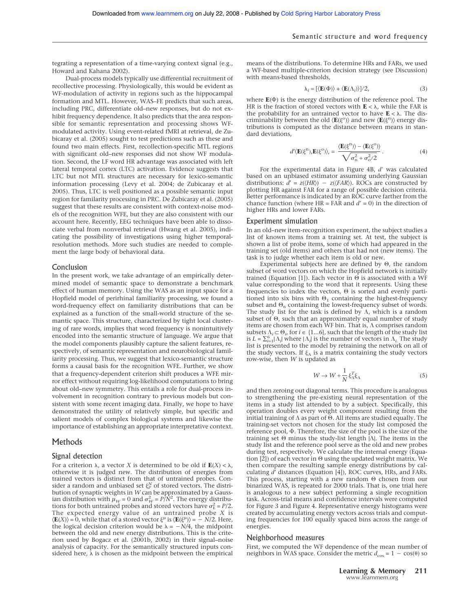tegrating a representation of a time-varying context signal (e.g., Howard and Kahana 2002).

Dual-process models typically use differential recruitment of recollective processing. Physiologically, this would be evident as WF-modulation of activity in regions such as the hippocampal formation and MTL. However, WAS–FE predicts that such areas, including PRC, differentiate old–new responses, but do not exhibit frequency dependence. It also predicts that the area responsible for semantic representation and processing shows WFmodulated activity. Using event-related fMRI at retrieval, de Zubicaray et al. (2005) sought to test predictions such as these and found two main effects. First, recollection-specific MTL regions with significant old–new responses did not show WF modulation. Second, the LF word HR advantage was associated with left lateral temporal cortex (LTC) activation. Evidence suggests that LTC but not MTL structures are necessary for lexico-semantic information processing (Levy et al. 2004; de Zubicaray et al. 2005). Thus, LTC is well positioned as a possible semantic input region for familarity processing in PRC. De Zubicaray et al. (2005) suggest that these results are consistent with context-noise models of the recognition WFE, but they are also consistent with our account here. Recently, EEG techniques have been able to dissociate verbal from nonverbal retrieval (Hwang et al. 2005), indicating the possibility of investigations using higher temporalresolution methods. More such studies are needed to complement the large body of behavioral data.

#### Conclusion

In the present work, we take advantage of an empirically determined model of semantic space to demonstrate a benchmark effect of human memory. Using the WAS as an input space for a Hopfield model of perirhinal familiarity processing, we found a word-frequency effect on familiarity distributions that can be explained as a function of the small-world structure of the semantic space. This structure, characterized by tight local clustering of rare words, implies that word frequency is nonintuitively encoded into the semantic structure of language. We argue that the model components plausibly capture the salient features, respectively, of semantic representation and neurobiological familiarity processing. Thus, we suggest that lexico-semantic structure forms a causal basis for the recognition WFE. Further, we show that a frequency-dependent criterion shift produces a WFE mirror effect without requiring log-likelihood computations to bring about old–new symmetry. This entails a role for dual-process involvement in recognition contrary to previous models but consistent with some recent imaging data. Finally, we hope to have demonstrated the utility of relatively simple, but specific and salient models of complex biological systems and likewise the importance of establishing an appropriate interpretative context.

#### **Methods**

#### Signal detection

For a criterion  $\lambda$ , a vector *X* is determined to be old if  $\mathbf{E}(X) < \lambda$ , otherwise it is judged new. The distribution of energies from trained vectors is distinct from that of untrained probes. Consider a random and unbiased set  $\xi_P^N$  of stored vectors. The distribution of synaptic weights in *W* can be approximated by a Gaussian distribution with  $\mu_W = 0$  and  $\sigma_W^2 = P/N^2$ . The energy distributions for both untrained probes and stored vectors have  $\sigma_{\rm E}^2 = P/2$ . The expected energy value of an untrained probe *X* is  $\langle \mathbf{E}(X) \rangle = 0$ , while that of a stored vector  $\xi^{\mu}$  is  $\langle \mathbf{E}(\xi^{\mu}) \rangle = -N/2$ . Here, the logical decision criterion would be  $\lambda = -N/4$ , the midpoint between the old and new energy distributions. This is the criterion used by Bogacz et al. (2001b, 2002) in their signal–noise analysis of capacity. For the semantically structured inputs considered here,  $\lambda$  is chosen as the midpoint between the empirical

means of the distributions. To determine HRs and FARs, we used a WF-based multiple-criterion decision strategy (see Discussion) with means-based thresholds,

$$
\lambda_i = [\langle \mathbf{E}(\Phi) \rangle + \langle \mathbf{E}(\Lambda_i) \rangle ]/2, \tag{3}
$$

where  $E(\Phi)$  is the energy distribution of the reference pool. The HR is the fraction of stored vectors with  $\mathbf{E} < \lambda$ , while the FAR is the probability for an untrained vector to have  $\mathbf{E} < \lambda$ . The discriminability between the old  $\langle \mathbf{E}(\xi^{\circ}) \rangle$  and new  $\langle \mathbf{E}(\xi^{\circ}) \rangle$  energy distributions is computed as the distance between means in standard deviations,

$$
d'\langle \mathbf{E}(\xi^{\mathbf{n}}), \mathbf{E}(\xi^{\mathbf{o}}) \rangle_{\mathbf{r}} = \frac{\langle \mathbf{E}(\xi^{\mathbf{n}}) \rangle - \langle \mathbf{E}(\xi^{\mathbf{o}}) \rangle}{\sqrt{\sigma_{\mathbf{n}}^2 + \sigma_{\mathbf{o}}^2/2}}.
$$
 (4)

For the experimental data in Figure 4B, d' was calculated based on an unbiased estimator assuming underlying Gaussian distributions:  $\hat{d}' = z(\langle HR \rangle) - z(\langle FAR \rangle)$ . ROCs are constructed by plotting HR against FAR for a range of possible decision criteria. Better performance is indicated by an ROC curve farther from the chance function (where  $HR = FAR$  and  $d' = 0$ ) in the direction of higher HRs and lower FARs.

#### Experiment simulation

In an old–new item-recognition experiment, the subject studies a list of known items from a training set. At test, the subject is shown a list of probe items, some of which had appeared in the training set (old items) and others that had not (new items). The task is to judge whether each item is old or new.

Experimental subjects here are defined by  $\Theta$ , the random subset of word vectors on which the Hopfield network is initially trained (Equation [1]). Each vector in  $\Theta$  is associated with a WF value corresponding to the word that it represents. Using these frequencies to index the vectors,  $\Theta$  is sorted and evenly partitioned into six bins with  $\Theta_1$  containing the highest-frequency subset and  $\Theta_6$  containing the lowest-frequency subset of words. The study list for the task is defined by  $\Lambda$ , which is a random subset of  $\Theta$ , such that an approximately equal number of study items are chosen from each WF bin. That is,  $\Lambda$  comprises random subsets  $\Lambda_i \subset \Theta_i$ , for  $i \in \{1...6\}$ , such that the length of the study list is  $L = \sum_{i=1}^{6} |\Lambda_i|$  where  $|\Lambda_i|$  is the number of vectors in  $\Lambda_i$ . The study list is presented to the model by retraining the network on all of the study vectors. If  $\xi_{\Lambda}$  is a matrix containing the study vectors row-wise, then *W* is updated as

$$
W \to W + \frac{1}{N} \xi_{\Lambda}^T \xi_{\Lambda} \tag{5}
$$

and then zeroing out diagonal terms. This procedure is analogous to strengthening the pre-existing neural representation of the items in a study list attended to by a subject. Specifically, this operation doubles every weight component resulting from the initial training of  $\Lambda$  as part of  $\Theta$ . All items are studied equally. The training-set vectors not chosen for the study list composed the reference pool,  $\Phi$ . Therefore, the size of the pool is the size of the training set  $\Theta$  minus the study-list length  $|\Lambda|$ . The items in the study list and the reference pool serve as the old and new probes during test, respectively. We calculate the internal energy (Equation [2]) of each vector in  $\Theta$  using the updated weight matrix. We then compare the resulting sample energy distributions by calculating *d*' distances (Equation [4]), ROC curves, HRs, and FARs. This process, starting with a new random  $\Theta$  chosen from our binarized WAS, is repeated for 2000 trials. That is, one trial here is analogous to a new subject performing a single recognition task. Across-trial means and confidence intervals were computed for Figure 3 and Figure 4. Representative energy histograms were created by accumulating energy vectors across trials and computing frequencies for 100 equally spaced bins across the range of energies.

#### Neighborhood measures

First, we computed the WF dependence of the mean number of neighbors in WAS space. Consider the metric  $d_{\cos} = 1 - \cos(\theta)$  so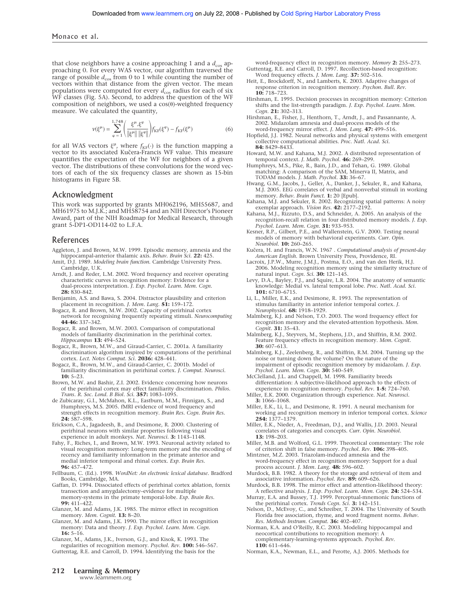that close neighbors have a cosine approaching 1 and a  $d_{\cos}$  approaching 0. For every WAS vector, our algorithm traversed the range of possible  $d_{cos}$  from 0 to 1 while counting the number of vectors within that distance from the given vector. The mean populations were computed for every  $\tilde{d_{\text{cos}}}$  radius for each of six WF classes (Fig. 5A). Second, to address the question of the WF composition of neighbors, we used a  $cos(\theta)$ -weighted frequency measure. We calculated the quantity,

$$
\nu(\xi^{\mu}) = \sum_{\varphi=1}^{1,748} \left( \frac{\xi^{\mu} \cdot \xi^{\varphi}}{\|\xi^{\mu}\| \|\xi^{\varphi}\|} \right) f_{\text{KF}}(\xi^{\varphi}) - f_{\text{KF}}(\xi^{\mu}) \tag{6}
$$

for all WAS vectors  $\xi^{\mu}$ , where  $f_{KF}(\cdot)$  is the function mapping a vector to its associated Kučera-Francis WF value. This measure quantifies the expectation of the WF for neighbors of a given vector. The distributions of these convolutions for the word vectors of each of the six frequency classes are shown as 15-bin histograms in Figure 5B.

#### Acknowledgment

This work was supported by grants MH062196, MH55687, and MH61975 to M.J.K.; and MH58754 and an NIH Director's Pioneer Award, part of the NIH Roadmap for Medical Research, through grant 5-DP1-OD114-02 to L.F.A.

#### References

- Aggleton, J. and Brown, M.W. 1999. Episodic memory, amnesia and the hippocampal-anterior thalamic axis. *Behav. Brain Sci.* **22:** 425.
- Amit, D.J. 1989. *Modeling brain function.* Cambridge University Press. Cambridge, U.K.
- Arndt, J. and Reder, L.M. 2002. Word frequency and receiver operating characteristic curves in recognition memory: Evidence for a dual-process interpretation. *J. Exp. Psychol. Learn. Mem. Cogn.* **28:** 830–842.
- Benjamin, A.S. and Bawa, S. 2004. Distractor plausibility and criterion placement in recognition. *J. Mem. Lang.* **51:** 159–172.
- Bogacz, R. and Brown, M.W. 2002. Capacity of perirhinal cortex network for recognising frequently repeating stimuli. *Neurocomputing* **44-46:** 337–342.
- Bogacz, R. and Brown, M.W. 2003. Comparison of computational models of familiarity discrimination in the perirhinal cortex. *Hippocampus* **13:** 494–524.
- Bogacz, R., Brown, M.W., and Giraud-Carrier, C. 2001a. A familiarity discrimination algorithm inspired by computations of the perirhinal cortex. *Lect. Notes Comput. Sci.* **2036:** 428–441.
- Bogacz, R., Brown, M.W., and Giraud-Carrier, C. 2001b. Model of familiarity discrimination in perirhinal cortex. *J. Comput. Neurosci.* **10:** 5–23.
- Brown, M.W. and Bashir, Z.I. 2002. Evidence concerning how neurons of the perirhinal cortex may effect familiarity discrimination. *Philos. Trans. R. Soc. Lond. B Biol. Sci.* **357:** 1083–1095.
- de Zubicaray, G.I., McMahon, K.L., Eastburn, M.M., Finnigan, S., and Humphreys, M.S. 2005. fMRI evidence of word frequency and strength effects in recognition memory. *Brain Res. Cogn. Brain Res.* **24:** 587–598.
- Erickson, C.A., Jagadeesh, B., and Desimone, R. 2000. Clustering of perirhinal neurons with similar properties following visual experience in adult monkeys. *Nat. Neurosci.* **3:** 1143–1148.
- Fahy, F., Riches, I., and Brown, M.W. 1993. Neuronal activity related to visual recognition memory: Long-term memory and the encoding of recency and familiarity information in the primate anterior and medial inferior temporal and rhinal cortex. *Exp. Brain Res.* **96:** 457–472.
- Fellbaum, C. (Ed.). 1998. *WordNet: An electronic lexical database.* Bradford Books, Cambridge, MA.
- Gaffan, D. 1994. Dissociated effects of perirhinal cortex ablation, fornix transection and amygdalectomy–evidence for multiple memory-systems in the primate temporal-lobe. *Exp. Brain Res.* **99:** 411–422.
- Glanzer, M. and Adams, J.K. 1985. The mirror effect in recognition memory. *Mem. Cognit.* **13:** 8–20.
- Glanzer, M. and Adams, J.K. 1990. The mirror effect in recognition memory: Data and theory. *J. Exp. Psychol. Learn. Mem. Cogn.* **16:** 5–16.

Glanzer, M., Adams, J.K., Iverson, G.J., and Kisok, K. 1993. The

regularities of recognition memory. *Psychol. Rev.* **100:** 546–567. Guttentag, R.E. and Carroll, D. 1994. Identifying the basis for the

word-frequency effect in recognition memory. *Memory* **2:** 255–273. Guttentag, R.E. and Carroll, D. 1997. Recollection-based recognition:

- Word frequency effects. *J. Mem. Lang.* **37:** 502–516. Heit, E., Brockdorff, N., and Lamberts, K. 2003. Adaptive changes of
- response criterion in recognition memory. *Psychon. Bull. Rev.* **10:** 718–723.
- Hirshman, E. 1995. Decision processes in recognition memory: Criterion shifts and the list-strength paradigm. *J. Exp. Psychol. Learn. Mem. Cogn.* **21:** 302–313.
- Hirshman, E., Fisher, J., Henthorn, T., Arndt, J., and Passannante, A. 2002. Midazolam amnesia and dual-process models of the word-frequency mirror effect. *J. Mem. Lang.* **47:** 499–516.
- Hopfield, J.J. 1982. Neural networks and physical systems with emergent collective computational abilities. *Proc. Natl. Acad. Sci.* **84:** 8429–8433.
- Howard, M.W. and Kahana, M.J. 2002. A distributed representation of temporal context. *J. Math. Psychol.* **46:** 269–299.
- Humphreys, M.S., Pike, R., Bain, J.D., and Tehan, G. 1989. Global matching: A comparison of the SAM, Minerva II, Matrix, and
- TODAM models. *J. Math. Psychol.* **33:** 36–67. Hwang, G.M., Jacobs, J., Geller, A., Danker, J., Sekuler, R., and Kahana, M.J. 2005. EEG correlates of verbal and nonverbal stimuli in working memory. *Behav. Brain Funct.* **1:** 20 [Epub].
- Kahana, M.J. and Sekuler, R. 2002. Recognizing spatial patterns: A noisy exemplar approach. *Vision Res.* **42:** 2177–2192.
- Kahana, M.J., Rizzuto, D.S., and Schneider, A. 2005. An analysis of the recognition-recall relation in four distributed memory models. *J. Exp. Psychol. Learn. Mem. Cogn.* **31:** 933–953.
- Kesner, R.P., Gilbert, P.E., and Wallenstein, G.V. 2000. Testing neural models of memory with behavioral experiments. *Curr. Opin. Neurobiol.* **10:** 260–265.
- Kučera, H. and Francis, W.N. 1967 . Computational analysis of present-day *American English.* Brown University Press, Providence, RI.
- Lacroix, J.P.W., Murre, J.M.J., Postma, E.O., and van den Herik, H.J. 2006. Modeling recognition memory using the similarity structure of natural input. *Cogn. Sci.* **30:** 121–145.
- Levy, D.A., Bayley, P.J., and Squire, L.R. 2004. The anatomy of semantic knowledge: Medial vs. lateral temporal lobe. *Proc. Natl. Acad. Sci.* **101:** 6710–6715.
- Li, L., Miller, E.K., and Desimone, R. 1993. The representation of stimulus familiarity in anterior inferior temporal cortex. *J. Neurophysiol.* **68:** 1918–1929.
- Malmberg, K.J. and Nelson, T.O. 2003. The word frequency effect for recognition memory and the elevated-attention hypothesis. *Mem. Cognit.* **31:** 35–43.
- Malmberg, K.J., Steyvers, M., Stephens, J.D., and Shiffrin, R.M. 2002. Feature frequency effects in recognition memory. *Mem. Cognit.* **30:** 607–613.

Malmberg, K.J., Zeelenberg, R., and Shiffrin, R.M. 2004. Turning up the noise or turning down the volume? On the nature of the impairment of episodic recognition memory by midazolam. *J. Exp. Psychol. Learn. Mem. Cogn.* **30:** 540–549.

McClelland, J.L. and Chappell, M. 1998. Familiarity breeds differentiation: A subjective-likelihood approach to the effects of experience in recognition memory. *Psychol. Rev.* **1-5:** 724–760.

- Miller, E.K. 2000. Organization through experience. *Nat. Neurosci.* **3:** 1066–1068.
- Miller, E.K., Li, L., and Desimone, R. 1991. A neural mechanism for working and recognition memory in inferior temporal cortex. *Science* **254:** 1377–1379.
- Miller, E.K., Nieder, A., Freedman, D.J., and Wallis, J.D. 2003. Neural correlates of categories and concepts. *Curr. Opin. Neurobiol.* **13:** 198–203.
- Miller, M.B. and Wolford, G.L. 1999. Theoretical commentary: The role of criterion shift in false memory. *Psychol. Rev.* **106:** 398–405.

Mintzner, M.Z. 2003. Triazolam-induced amnesia and the word-frequency effect in recognition memory: Support for a dual process account. *J. Mem. Lang.* **48:** 596–602.

- Murdock, B.B. 1982. A theory for the storage and retrieval of item and associative information. *Psychol. Rev.* **89:** 609–626.
- Murdock, B.B. 1998. The mirror effect and attention-likelihood theory: A reflective analysis. *J. Exp. Psychol. Learn. Mem. Cogn.* **24:** 524–534.
- Murray, E.A. and Bussey, T.J. 1999. Perceptual-mnemonic functions of the perirhinal cortex. *Trends Cogn. Sci.* **3:** 142–151.
- Nelson, D., McEvoy, C., and Schreiber, T. 2004. The University of South Florida free association, rhyme, and word fragment norms. *Behav. Res. Methods Instrum. Comput.* **36:** 402–407.
- Norman, K.A. and O'Reilly, R.C. 2003. Modeling hippocampal and neocortical contributions to recognition memory: A complementary-learning-systems approach. *Psychol. Rev.* **110:** 611–646.
- Norman, K.A., Newman, E.L., and Perotte, A.J. 2005. Methods for